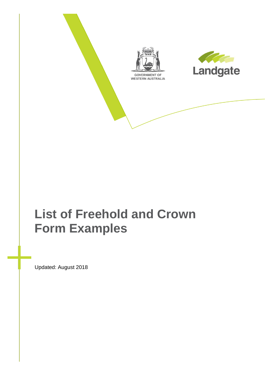

# **List of Freehold and Crown Form Examples**

Updated: August 2018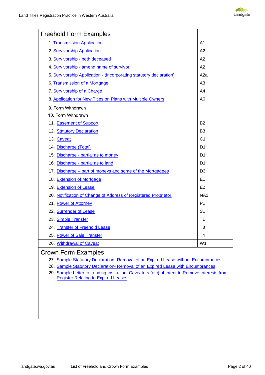

| <b>Freehold Form Examples</b>                                                                       |                  |
|-----------------------------------------------------------------------------------------------------|------------------|
| 1. Transmission Application                                                                         | A <sub>1</sub>   |
| 2. Survivorship Application                                                                         | A2               |
| 3. Survivorship - both deceased                                                                     | A2               |
| 4. Survivorship - amend name of survivor                                                            | A2               |
| 5. Survivorship Application - (incorporating statutory declaration)                                 | A <sub>2</sub> a |
| 6. Transmission of a Mortgage                                                                       | A <sub>3</sub>   |
| 7. Survivorship of a Charge                                                                         | A4               |
| 8. Application for New Titles on Plans with Multiple Owners                                         | A <sub>6</sub>   |
| 9. Form Withdrawn                                                                                   |                  |
| 10. Form Withdrawn                                                                                  |                  |
| 11. Easement of Support                                                                             | <b>B2</b>        |
| 12. Statutory Declaration                                                                           | B <sub>3</sub>   |
| 13. Caveat                                                                                          | C <sub>1</sub>   |
| 14. Discharge (Total)                                                                               | D <sub>1</sub>   |
| 15. Discharge - partial as to money                                                                 | D <sub>1</sub>   |
| 16. Discharge - partial as to land                                                                  | D <sub>1</sub>   |
| 17. Discharge - part of moneys and some of the Mortgagees                                           | D <sub>3</sub>   |
| 18. Extension of Mortgage                                                                           | E <sub>1</sub>   |
| 19. Extension of Lease                                                                              | E2               |
| 20. Notification of Change of Address of Registered Proprietor                                      | NA <sub>1</sub>  |
| 21. Power of Attorney                                                                               | P <sub>1</sub>   |
| 22. Surrender of Lease                                                                              | S <sub>1</sub>   |
| 23. Simple Transfer                                                                                 | T1               |
| 24. Transfer of Freehold Lease                                                                      | T <sub>3</sub>   |
| 25. Power of Sale Transfer                                                                          | T <sub>4</sub>   |
| 26. Withdrawal of Caveat                                                                            | W <sub>1</sub>   |
| $\bigcap$ $\bigcap_{i=1}^n$ $\bigcap_{i=1}^n$ $\bigcap_{i=1}^n$ $\bigcap_{i=1}^n$ $\bigcap_{i=1}^n$ |                  |

#### Crown Form Examples

- 27. [Sample Statutory Declaration- Removal of an Expired Lease without Encumbrances](#page-30-0)
- 28. [Sample Statutory Declaration- Removal of an Expired Lease with Encumbrances](#page-31-0)

29. [Sample Letter to Lending Institution, Caveators \(etc\) of Intent to Remove Interests from](#page-32-0) [Register Relating to Expired Leases](#page-32-0)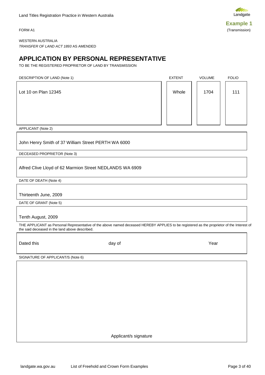<span id="page-2-0"></span>



WESTERN AUSTRALIA *TRANSFER OF LAND ACT 1893* AS AMENDED

### **APPLICATION BY PERSONAL REPRESENTATIVE**

TO BE THE REGISTERED PROPRIETOR OF LAND BY TRANSMISSION

| DESCRIPTION OF LAND (Note 1) | <b>EXTENT</b> | <b>VOLUME</b> | <b>FOLIO</b> |
|------------------------------|---------------|---------------|--------------|
| Lot 10 on Plan 12345         | Whole         | 1704          | 111          |
|                              |               |               |              |

APPLICANT (Note 2)

John Henry Smith of 37 William Street PERTH WA 6000

DECEASED PROPRIETOR (Note 3)

Alfred Clive Lloyd of 62 Marmion Street NEDLANDS WA 6909

DATE OF DEATH (Note 4)

Thirteenth June, 2009

DATE OF GRANT (Note 5)

Tenth August, 2009

THE APPLICANT as Personal Representative of the above named deceased HEREBY APPLIES to be registered as the proprietor of the Interest of the said deceased in the land above described.

Dated this day of Year

SIGNATURE OF APPLICANT/S (Note 6)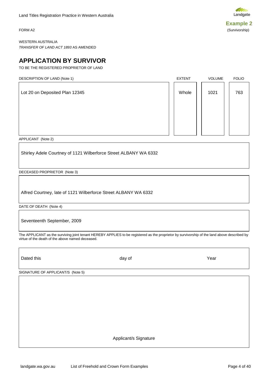<span id="page-3-0"></span>

WESTERN AUSTRALIA *TRANSFER OF LAND ACT 1893* AS AMENDED

### **APPLICATION BY SURVIVOR**

TO BE THE REGISTERED PROPRIETOR OF LAND

| DESCRIPTION OF LAND (Note 1)   | <b>EXTENT</b> | <b>VOLUME</b> | <b>FOLIO</b> |
|--------------------------------|---------------|---------------|--------------|
| Lot 20 on Deposited Plan 12345 | Whole         | 1021          | 763          |
|                                |               |               |              |
|                                |               |               |              |

APPLICANT (Note 2)

Shirley Adele Courtney of 1121 Wilberforce Street ALBANY WA 6332

DECEASED PROPRIETOR (Note 3)

Alfred Courtney, late of 1121 Wilberforce Street ALBANY WA 6332

DATE OF DEATH (Note 4)

Seventeenth September, 2009

The APPLICANT as the surviving joint tenant HEREBY APPLIES to be registered as the proprietor by survivorship of the land above described by virtue of the death of the above named deceased.

Dated this day of Year

SIGNATURE OF APPLICANT/S (Note 5)

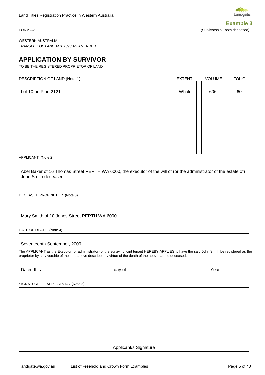<span id="page-4-0"></span>**Example 3** FORM A2 (Survivorship - both deceased)

WESTERN AUSTRALIA *TRANSFER OF LAND ACT 1893* AS AMENDED

### **APPLICATION BY SURVIVOR**

TO BE THE REGISTERED PROPRIETOR OF LAND

| DESCRIPTION OF LAND (Note 1) | <b>EXTENT</b> | VOLUME | <b>FOLIO</b> |
|------------------------------|---------------|--------|--------------|
| Lot 10 on Plan 2121          | Whole         | 606    | 60           |
|                              |               |        |              |
|                              |               |        |              |
|                              |               |        |              |
|                              |               |        |              |

APPLICANT (Note 2)

Abel Baker of 16 Thomas Street PERTH WA 6000, the executor of the will of (or the administrator of the estate of) John Smith deceased.

DECEASED PROPRIETOR (Note 3)

Mary Smith of 10 Jones Street PERTH WA 6000

DATE OF DEATH (Note 4)

Seventeenth September, 2009

The APPLICANT as the Executor (or administrator) of the surviving joint tenant HEREBY APPLIES to have the said John Smith be registered as the proprietor by survivorship of the land above described by virtue of the death of the abovenamed deceased.

Dated this day of Year

SIGNATURE OF APPLICANT/S (Note 5)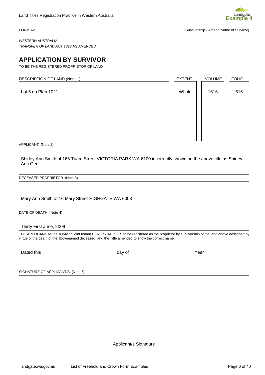<span id="page-5-0"></span>

FORM A2 (Survivorship - Amend Name of Survivor)

WESTERN AUSTRALIA *TRANSFER OF LAND ACT 1893* AS AMENDED

### **APPLICATION BY SURVIVOR**

TO BE THE REGISTERED PROPRIETOR OF LAND

| DESCRIPTION OF LAND (Note 1) | <b>EXTENT</b> | <b>VOLUME</b> | <b>FOLIO</b> |
|------------------------------|---------------|---------------|--------------|
| Lot 5 on Plan 1021           | Whole         | 1616          | 616          |
|                              |               |               |              |
|                              |               |               |              |
|                              |               |               |              |

APPLICANT (Note 2)

Shirley Ann Smith of 166 Tuam Street VICTORIA PARK WA 6100 incorrectly shown on the above title as Shirley Ann Gent.

DECEASED PROPRIETOR (Note 3)

Mary Ann Smith of 16 Mary Street HIGHGATE WA 6003

DATE OF DEATH (Note 4)

Thirty First June, 2009

THE APPLICANT as the surviving joint tenant HEREBY APPLIES to be registered as the proprietor by survivorship of the land above described by virtue of the death of the abovenamed deceased, and the Title amended to show the correct name.

Dated this the Second Control of the Marian day of the Second Vear of the Year of The Second Vear of the Second

SIGNATURE OF APPLICANT/S (Note 5)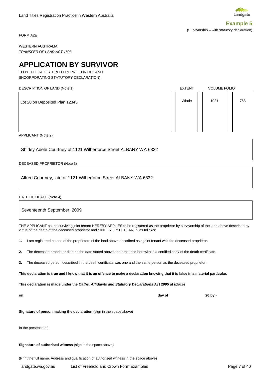<span id="page-6-0"></span>FORM A2a

WESTERN AUSTRALIA *TRANSFER OF LAND ACT 1893*

### **APPLICATION BY SURVIVOR**

TO BE THE REGISTERED PROPRIETOR OF LAND (INCORPORATING STATUTORY DECLARATION)

APPLICANT (Note 2)

Shirley Adele Courtney of 1121 Wilberforce Street ALBANY WA 6332

DECEASED PROPRIETOR (Note 3)

Alfred Courtney, late of 1121 Wilberforce Street ALBANY WA 6332

DATE OF DEATH **(**Note 4)

Seventeenth September, 2009

THE APPLICANT as the surviving joint tenant HEREBY APPLIES to be registered as the proprietor by survivorship of the land above described by virtue of the death of the deceased proprietor and SINCERELY DECLARES as follows:

**1.** I am registered as one of the proprietors of the land above described as a joint tenant with the deceased proprietor.

**2.** The deceased proprietor died on the date stated above and produced herewith is a certified copy of the death certificate.

**3.** The deceased person described in the death certificate was one and the same person as the deceased proprietor.

**This declaration is true and I know that it is an offence to make a declaration knowing that it is false in a material particular.**

**This declaration is made under the** *Oaths, Affidavits and Statutory Declarations Act 2005* **at** (place)

**Signature of person making the declaration** (sign in the space above)

In the presence of -

**Signature of authorised witness** (sign in the space above)

(Print the full name, Address and qualification of authorised witness in the space above)





**on day of 20 by** -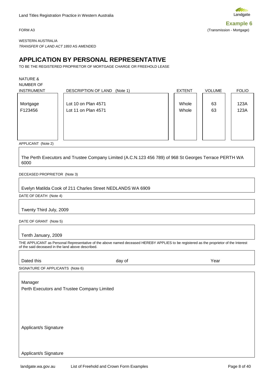<span id="page-7-0"></span>

WESTERN AUSTRALIA *TRANSFER OF LAND ACT 1893* AS AMENDED

### **APPLICATION BY PERSONAL REPRESENTATIVE**

TO BE THE REGISTERED PROPRIETOR OF MORTGAGE CHARGE OR FREEHOLD LEASE

NATURE &

NUMBER OF

| <b>INSTRUMENT</b>   | DESCRIPTION OF LAND<br>(Note 1)            | <b>EXTENT</b>  | <b>VOLUME</b> | <b>FOLIO</b> |
|---------------------|--------------------------------------------|----------------|---------------|--------------|
| Mortgage<br>F123456 | Lot 10 on Plan 4571<br>Lot 11 on Plan 4571 | Whole<br>Whole | 63<br>63      | 123A<br>123A |
|                     |                                            |                |               |              |
| ADDIIOABIT B1.0.01  |                                            |                |               |              |

APPLICANT (Note 2)

The Perth Executors and Trustee Company Limited (A.C.N.123 456 789) of 968 St Georges Terrace PERTH WA 6000

#### DECEASED PROPRIETOR (Note 3)

#### Evelyn Matilda Cook of 211 Charles Street NEDLANDS WA 6909

DATE OF DEATH (Note 4)

Twenty Third July, 2009

DATE OF GRANT (Note 5)

Tenth January, 2009

THE APPLICANT as Personal Representative of the above named deceased HEREBY APPLIES to be registered as the proprietor of the Interest of the said deceased in the land above described.

| Dated this                                  | day of | Year |
|---------------------------------------------|--------|------|
| SIGNATURE OF APPLICANTS (Note 6)            |        |      |
|                                             |        |      |
| Manager                                     |        |      |
| Perth Executors and Trustee Company Limited |        |      |
|                                             |        |      |
|                                             |        |      |
|                                             |        |      |
|                                             |        |      |
|                                             |        |      |
| Applicant/s Signature                       |        |      |
|                                             |        |      |
|                                             |        |      |
|                                             |        |      |
| Applicant/s Signature                       |        |      |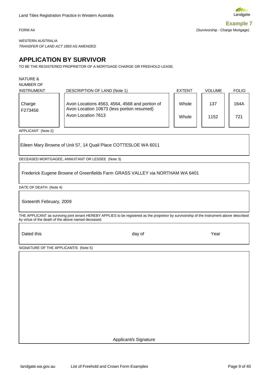Landgate

<span id="page-8-0"></span>**Example 7** FORM A4 (Survivorship - Charge Mortgage)

WESTERN AUSTRALIA *TRANSFER OF LAND ACT 1893* AS AMENDED

### **APPLICATION BY SURVIVOR**

TO BE THE REGISTERED PROPRIETOR OF A MORTGAGE CHARGE OR FREEHOLD LEASE.

NATURE &

NUMBER OF

| <b>INSTRUMENT</b> | DESCRIPTION OF LAND (Note 1)                                                                                       | <b>EXTENT</b>  | <b>VOLUME</b> | <b>FOLIO</b> |
|-------------------|--------------------------------------------------------------------------------------------------------------------|----------------|---------------|--------------|
| Charge<br>F273456 | Avon Locations 4563, 4564, 4568 and portion of<br>Avon Location 10673 (less portion resumed)<br>Avon Location 7613 | Whole<br>Whole | 137<br>1152   | 164A<br>721  |
|                   |                                                                                                                    |                |               |              |

APPLICANT (Note 2)

Eileen Mary Browne of Unit 57, 14 Quail Place COTTESLOE WA 6011

DECEASED MORTGAGEE, ANNUITANT OR LESSEE (Note 3)

Frederick Eugene Browne of Greenfields Farm GRASS VALLEY via NORTHAM WA 6401

DATE OF DEATH (Note 4)

Sixteenth February, 2009

THE APPLICANT as surviving joint tenant HEREBY APPLIES to be registered as the proprietor by survivorship of the Instrument above described by virtue of the death of the above named deceased.

Dated this and the Marian Community of Marian Community of Marian Community of Marian Community of Marian Mari

SIGNATURE OF THE APPLICANT/S (Note 5)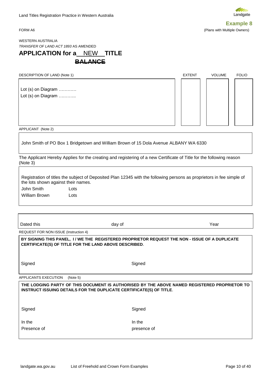<span id="page-9-0"></span>



WESTERN AUSTRALIA *TRANSFER OF LAND ACT 1893* AS AMENDED

### **APPLICATION for a** NEW **TITLE BALANCE**

| DESCRIPTION OF LAND (Note 1)             | <b>EXTENT</b> | <b>VOLUME</b> | <b>FOLIO</b> |
|------------------------------------------|---------------|---------------|--------------|
| Lot (s) on Diagram<br>Lot (s) on Diagram |               |               |              |
| $\lambda$                                |               |               |              |

APPLICANT (Note 2)

John Smith of PO Box 1 Bridgetown and William Brown of 15 Dola Avenue ALBANY WA 6330

The Applicant Hereby Applies for the creating and registering of a new Certificate of Title for the following reason (Note 3)

| the lots shown against their names. | Registration of titles the subject of Deposited Plan 12345 with the following persons as proprietors in fee simple of |
|-------------------------------------|-----------------------------------------------------------------------------------------------------------------------|
| John Smith                          | Lots                                                                                                                  |
| William Brown                       | Lots                                                                                                                  |

| Dated this | day of | Year |
|------------|--------|------|
|            |        |      |

REQUEST FOR NON ISSUE (Instruction 4)

**BY SIGNING THIS PANEL, I / WE THE REGISTERED PROPRIETOR REQUEST THE NON - ISSUE OF A DUPLICATE CERTIFICATE(S) OF TITLE FOR THE LAND ABOVE DESCRIBED**.

Signed Signed Signed Signed Signed Signed Signed Signed Signed Signed Signed Signed Signed Signed Signed Signed Signed Signed Signed Signed Signed Signed Signed Signed Signed Signed Signed Signed Signed Signed Signed Signe

APPLICANTS EXECUTION (Note 5)

## **THE LODGING PARTY OF THIS DOCUMENT IS AUTHORISED BY THE ABOVE NAMED REGISTERED PROPRIETOR TO INSTRUCT ISSUING DETAILS FOR THE DUPLICATE CERTIFICATE(S) OF TITLE**. Signed Signed **Signed** In the International Contract of the International Contract of the International Contract of the International Presence of presence of presence of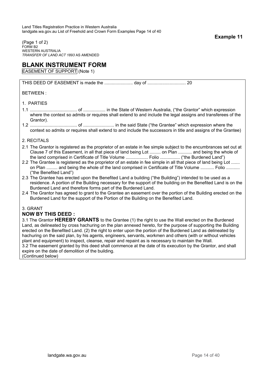<span id="page-10-0"></span>(Page 1 of 2) FORM B2 WESTERN AUSTRALIA *TRANSFER OF LAND ACT 1893* AS AMENDED

### **BLANK INSTRUMENT FORM**

EASEMENT OF SUPPORT (Note 1)

THIS DEED OF EASEMENT is made the ....................... day of ............................... 20

BETWEEN :

#### 1. PARTIES

- 1.1 ...................................... of .................. in the State of Western Australia, ("the Grantor" which expression where the context so admits or requires shall extend to and include the legal assigns and transferees of the Grantor).
- 1.2 ...................................... of ......................... in the said State ("the Grantee" which expression where the context so admits or requires shall extend to and include the successors in title and assigns of the Grantee)

#### 2. RECITALS

- 2.1 The Grantor is registered as the proprietor of an estate in fee simple subject to the encumbrances set out at Clause 7 of this Easement, in all that piece of land being Lot ......... on Plan ........... and being the whole of the land comprised in Certificate of Title Volume .................. Folio ................ ("the Burdened Land")
- 2.2 The Grantee is registered as the proprietor of an estate in fee simple in all that piece of land being Lot ....... on Plan ......... and being the whole of the land comprised in Certificate of Title Volume ........... Folio ........... ("the Benefited Land")
- 2.3 The Grantee has erected upon the Benefited Land a building ("the Building") intended to be used as a residence. A portion of the Building necessary for the support of the building on the Benefited Land is on the Burdened Land and therefore forms part of the Burdened Land.
- 2.4 The Grantor has agreed to grant to the Grantee an easement over the portion of the Building erected on the Burdened Land for the support of the Portion of the Building on the Benefited Land.

#### 3. GRANT

#### **NOW BY THIS DEED :**

3.1 The Grantor **HEREBY GRANTS** to the Grantee (1) the right to use the Wall erected on the Burdened Land, as delineated by cross hachuring on the plan annexed hereto, for the purpose of supporting the Building erected on the Benefited Land. (2) the right to enter upon the portion of the Burdened Land as delineated by hachuring on the said plan, by his agents, engineers, servants, workmen and others (with or without vehicles plant and equipment) to inspect, cleanse, repair and repaint as is necessary to maintain the Wall.

3.2 The easement granted by this deed shall commence at the date of its execution by the Grantor, and shall expire on the date of demolition of the building.

(Continued below)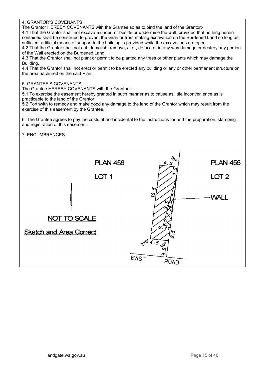4. GRANTOR'S COVENANTS

The Grantor HEREBY COVENANTS with the Grantee so as to bind the land of the Grantor:-

4.1 That the Grantor shall not excavate under, or beside or undermine the wall, provided that nothing herein contained shall be construed to prevent the Grantor from making excavation on the Burdened Land so long as sufficient artificial means of support to the building is provided while the excavations are open.

4.2 That the Grantor shall not cut, demolish, remove, alter, deface or in any way damage or destroy any portion of the Wall erected on the Burdened Land.

4.3 That the Grantor shall not plant or permit to be planted any trees or other plants which may damage the Building.

4.4 That the Grantor shall not erect or permit to be erected any building or any or other permanent structure on the area hachured on the said Plan.

#### 5. GRANTEE'S COVENANTS

The Grantee HEREBY COVENANTS with the Grantor :-

5.1 To exercise the easement hereby granted in such manner as to cause as little inconvenience as is practicable to the land of the Grantor.

5.2 Forthwith to remedy and make good any damage to the land of the Grantor which may result from the exercise of this easement by the Grantee.

6. The Grantee agrees to pay the costs of and incidental to the instructions for and the preparation, stamping and registration of this easement.

#### 7. ENCUMBRANCES

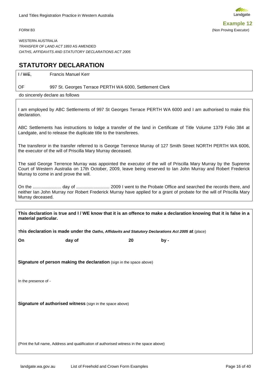<span id="page-12-0"></span>



WESTERN AUSTRALIA *TRANSFER OF LAND ACT 1893* AS AMENDED *OATHS, AFFIDAVITS AND STATUTORY DECLARATIONS ACT 2005*

### **STATUTORY DECLARATION**

I / WE, Francis Manuel Kerr

#### OF 997 St. Georges Terrace PERTH WA 6000, Settlement Clerk

do sincerely declare as follows

I am employed by ABC Settlements of 997 St Georges Terrace PERTH WA 6000 and I am authorised to make this declaration.

ABC Settlements has instructions to lodge a transfer of the land in Certificate of Title Volume 1379 Folio 384 at Landgate, and to release the duplicate title to the transferees.

The transferor in the transfer referred to is George Terrence Murray of 127 Smith Street NORTH PERTH WA 6006, the executor of the will of Priscilla Mary Murray deceased.

The said George Terrence Murray was appointed the executor of the will of Priscilla Mary Murray by the Supreme Court of Western Australia on 17th October, 2009, leave being reserved to Ian John Murray and Robert Frederick Murray to come in and prove the will.

On the ....................... day of ........................... 2009 I went to the Probate Office and searched the records there, and neither Ian John Murray nor Robert Frederick Murray have applied for a grant of probate for the will of Priscilla Mary Murray deceased.

**This declaration is true and I / WE know that it is an offence to make a declaration knowing that it is false in a material particular.**

**This declaration is made under the** *Oaths, Affidavits and Statutory Declarations Act 2005* **at** (place)

**On day of 20 by -**

**Signature of person making the declaration** (sign in the space above)

In the presence of -

**Signature of authorised witness** (sign in the space above)

(Print the full name, Address and qualification of authorised witness in the space above)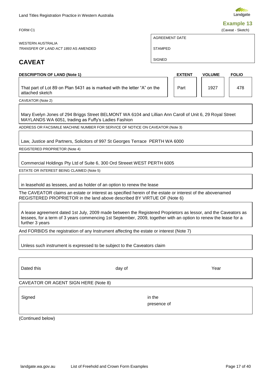CAVEATOR OR AGENT SIGN HERE (Note 8)

Land Titles Registration Practice in Western Australia

WESTERN AUSTRALIA *TRANSFER OF LAND ACT 1893* AS AMENDED

**DESCRIPTION OF LAND (Note 1)** 

### **CAVEAT**

That part of Lot 89 on Plan 5431 as is marked with the letter "A"

CAVEATOR (Note 2)

attached sketch

Mary Evelyn Jones of 294 Briggs Street BELMONT WA 6104 and Lillian Ann Caroll of Unit 6, 29 Royal Street MAYLANDS WA 6051, trading as Fuffy's Ladies Fashion

ADDRESS OR FACSIMILE MACHINE NUMBER FOR SERVICE OF NOTICE ON CAVEATOR (Note 3)

Law, Justice and Partners, Solicitors of 997 St Georges Terrace PERTH WA 6000

REGISTERED PROPRIETOR (Note 4)

Commercial Holdings Pty Ltd of Suite 6, 300 Ord Streeet WEST PERTH 6005

ESTATE OR INTEREST BEING CLAIMED (Note 5)

in leasehold as lessees, and as holder of an option to renew the lease

The CAVEATOR claims an estate or interest as specified herein of the estate or interest of the abovenamed REGISTERED PROPRIETOR in the land above described BY VIRTUE OF (Note 6)

A lease agreement dated 1st July, 2009 made between the Registered Proprietors as lessor, and the Caveators as lessees, for a term of 3 years commencing 1st September, 2009, together with an option to renew the lease for a further 3 years

And FORBIDS the registration of any Instrument affecting the estate or interest (Note 7)

Unless such instrument is expressed to be subject to the Caveators claim

(Continued below)

Landgate **Example 13**

<span id="page-13-0"></span>FORM C1 (Caveat - Sketch)

STAMPED

AGREEMENT DATE

SIGNED

|        | <b>EXTENT</b> | <b>VOLUME</b> | <b>FOLIO</b> |
|--------|---------------|---------------|--------------|
| on the | Part          | 1927          | 478          |

Signed in the

presence of

Dated this day of Year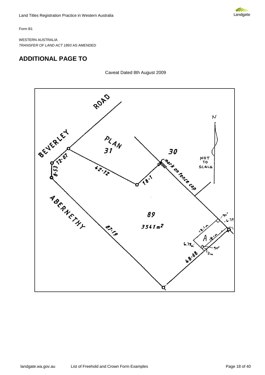

Form B1

WESTERN AUSTRALIA *TRANSFER OF LAND ACT 1893* AS AMENDED

### **ADDITIONAL PAGE TO**

Caveat Dated 8th August 2009

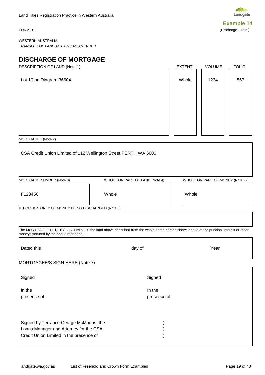**COLORIZACIÓN** Landgate **Example 14**

<span id="page-15-0"></span>FORM D1 (Discharge - Total)

WESTERN AUSTRALIA *TRANSFER OF LAND ACT 1893* AS AMENDED

### **DISCHARGE OF MORTGAGE**

| DESCRIPTION OF LAND (Note 1)                                    | EXTENT | <b>VOLUME</b> | <b>FOLIO</b> |
|-----------------------------------------------------------------|--------|---------------|--------------|
| Lot 10 on Diagram 36604                                         | Whole  | 1234          | 567          |
|                                                                 |        |               |              |
|                                                                 |        |               |              |
|                                                                 |        |               |              |
| MORTGAGEE (Note 2)                                              |        |               |              |
| CSA Credit Union Limited of 112 Wellington Street PERTH WA 6000 |        |               |              |

MORTGAGE NUMBER (Note 3) WHOLE OR PART OF LAND (Note 4) WHOLE OR PART OF MONEY (Note 5)

F123456 Whole Whole

I

IF PORTION ONLY OF MONEY BEING DISCHARGED (Note 6)

The MORTGAGEE HEREBY DISCHARGES the land above described from the whole or the part as shown above of the principal interest or other moneys secured by the above mortgage.

| Dated this                                                                                                                  | day of                | Year |
|-----------------------------------------------------------------------------------------------------------------------------|-----------------------|------|
| MORTGAGEE/S SIGN HERE (Note 7)                                                                                              |                       |      |
| Signed                                                                                                                      | Signed                |      |
| In the<br>presence of                                                                                                       | In the<br>presence of |      |
| Signed by Terrance George McManus, the<br>Loans Manager and Attorney for the CSA<br>Credit Union Limited in the presence of |                       |      |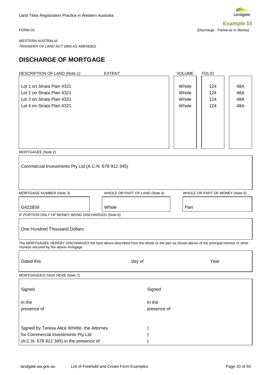<span id="page-16-0"></span>



FORM D1 (Discharge - Partial as to Money)

WESTERN AUSTRALIA *TRANSFER OF LAND ACT 1893* AS AMENDED

#### **DISCHARGE OF MORTGAGE**

| <b>DESCRIPTION OF LAND (Note 1)</b>                                                                                                                                            | <b>EXTENT</b>                  | VOLUME                           | <b>FOLIO</b>                    |                          |
|--------------------------------------------------------------------------------------------------------------------------------------------------------------------------------|--------------------------------|----------------------------------|---------------------------------|--------------------------|
| Lot 1 on Strata Plan 4321<br>Lot 2 on Strata Plan 4321<br>Lot 3 on Strata Plan 4321<br>Lot 4 on Strata Plan 4321<br>MORTGAGEE (Note 2)                                         |                                | Whole<br>Whole<br>Whole<br>Whole | 124<br>124<br>124<br>124        | 48A<br>48A<br>48A<br>48A |
| Commercial Investments Pty Ltd (A.C.N. 678 912 345)                                                                                                                            |                                |                                  |                                 |                          |
|                                                                                                                                                                                |                                |                                  |                                 |                          |
| MORTGAGE NUMBER (Note 3)                                                                                                                                                       | WHOLE OR PART OF LAND (Note 4) |                                  | WHOLE OR PART OF MONEY (Note 5) |                          |
| G422839                                                                                                                                                                        | Whole                          | Part                             |                                 |                          |
| IF PORTION ONLY OF MONEY BEING DISCHARGED (Note 6)                                                                                                                             |                                |                                  |                                 |                          |
| One Hundred Thousand Dollars                                                                                                                                                   |                                |                                  |                                 |                          |
| The MORTGAGEE HEREBY DISCHARGES the land above described from the whole or the part as shown above of the principal interest or other<br>moneys secured by the above mortgage. |                                |                                  |                                 |                          |
| Dated this                                                                                                                                                                     | day of                         |                                  | Year                            |                          |
| MORTGAGEE/S SIGN HERE (Note 7)                                                                                                                                                 |                                |                                  |                                 |                          |
| Signed                                                                                                                                                                         | Signed                         |                                  |                                 |                          |
| In the                                                                                                                                                                         | In the                         |                                  |                                 |                          |
| presence of                                                                                                                                                                    | presence of                    |                                  |                                 |                          |
| Signed by Teresa Alice Whittle, the Attorney<br>for Commercial Investments Pty Ltd<br>(A.C.N. 678 912 345) in the presence of:                                                 |                                |                                  |                                 |                          |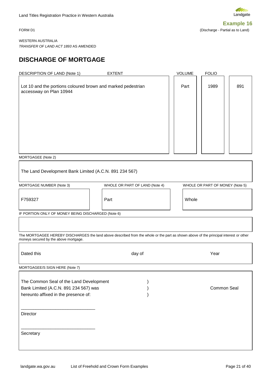Landgate **Example 16**

<span id="page-17-0"></span>FORM D1 (Discharge - Partial as to Land)

WESTERN AUSTRALIA *TRANSFER OF LAND ACT 1893* AS AMENDED

### **DISCHARGE OF MORTGAGE**

| DESCRIPTION OF LAND (Note 1)<br><b>EXTENT</b>                                           | <b>VOLUME</b> | <b>FOLIO</b> |     |
|-----------------------------------------------------------------------------------------|---------------|--------------|-----|
| Lot 10 and the portions coloured brown and marked pedestrian<br>accessway on Plan 10944 | Part          | 1989         | 891 |
|                                                                                         |               |              |     |
| MORTGAGFF (Note 2)                                                                      |               |              |     |

MORTGAGEE (Note 2)

The Land Development Bank Limited (A.C.N. 891 234 567)

MORTGAGE NUMBER (Note 3) WHOLE OR PART OF LAND (Note 4) WHOLE OR PART OF MONEY (Note 5)

F759327 Part Whole

IF PORTION ONLY OF MONEY BEING DISCHARGED (Note 6)

The MORTGAGEE HEREBY DISCHARGES the land above described from the whole or the part as shown above of the principal interest or other moneys secured by the above mortgage.

| Dated this                              | day of | Year        |  |
|-----------------------------------------|--------|-------------|--|
| MORTGAGEE/S SIGN HERE (Note 7)          |        |             |  |
| The Common Seal of the Land Development |        |             |  |
| Bank Limited (A.C.N. 891 234 567) was   |        | Common Seal |  |
| hereunto affixed in the presence of:    |        |             |  |
| Director<br>Secretary                   |        |             |  |
|                                         |        |             |  |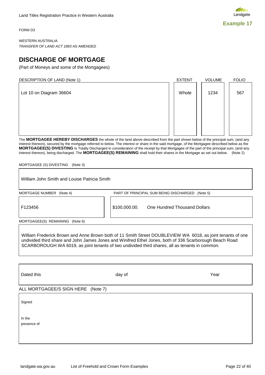<span id="page-18-0"></span>FORM D3

WESTERN AUSTRALIA *TRANSFER OF LAND ACT 1893* AS AMENDED

### **DISCHARGE OF MORTGAGE**

(Part of Moneys and some of the Mortgagees)

DESCRIPTION OF LAND (Note 1) The CONSTRUCTION OF LAND (Note 1) The COLUME ROLLO

Lot 10 on Diagram 36604

The **MORTGAGEE HEREBY DISCHARGES** the whole of the land above described from the part shown below of the principal sum, (and any interest thereon), secured by the mortgage referred to below. The interest or share in the said mortgage, of the Mortgagee described below as the **MORTGAGEE(S) DIVESTING** Is Totally Discharged in consideration of the receipt by that Mortgagee of the part of the principal sum, (and any interest thereon), being discharged. The **MORTGAGEE(S) REMAINING** shall hold their shares in the Mortgage as set out below. (Note 2)

MORTGAGEE (S) DIVESTING (Note 3)

| MORTGAGE NUMBER (Note 4)        | PART OF PRINCIPAL SUM BEING DISCHARGED<br>(Note 5)                                                                                                                                                                                                                                                                      |  |
|---------------------------------|-------------------------------------------------------------------------------------------------------------------------------------------------------------------------------------------------------------------------------------------------------------------------------------------------------------------------|--|
| F123456                         | \$100,000.00.<br>One Hundred Thousand Dollars                                                                                                                                                                                                                                                                           |  |
| MORTGAGEE(S) REMAINING (Note 6) |                                                                                                                                                                                                                                                                                                                         |  |
|                                 |                                                                                                                                                                                                                                                                                                                         |  |
|                                 | William Frederick Brown and Anne Brown both of 11 Smith Street DOUBLEVIEW WA 6018, as joint tenants of one<br>undivided third share and John James Jones and Winifred Ethel Jones, both of 336 Scarborough Beach Road<br>SCARBOROUGH WA 6019, as joint tenants of two undivided third shares, all as tenants in common. |  |
|                                 |                                                                                                                                                                                                                                                                                                                         |  |
| Dated this                      | Year<br>day of                                                                                                                                                                                                                                                                                                          |  |

In the  $\blacksquare$ presence of the presence of presence of presence of presence of presence of presence of presence of  $\sim$ 

landgate.wa.gov.au List of Freehold and Crown Form Examples **Page 22 of 40** Page 22 of 40

signed and the signed of the signed of the signed of the signed of the signed of the signed of the signed of the signed of the signed of the signed of the signed of the signed of the signed of the signed of the signed of t



Whole | 1234 | 567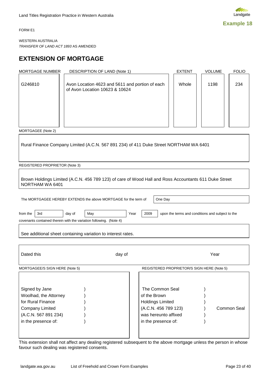<span id="page-19-0"></span>FORM E1

WESTERN AUSTRALIA *TRANSFER OF LAND ACT 1893* AS AMENDED

### **EXTENSION OF MORTGAGE**

| MORTGAGE NUMBER                                                                                                                       | DESCRIPTION OF LAND (Note 1)                                                                          |                                                                                                                                   | <b>EXTENT</b>                                    | <b>VOLUME</b> | <b>FOLIO</b> |
|---------------------------------------------------------------------------------------------------------------------------------------|-------------------------------------------------------------------------------------------------------|-----------------------------------------------------------------------------------------------------------------------------------|--------------------------------------------------|---------------|--------------|
| G246810                                                                                                                               | Avon Location 4623 and 5611 and portion of each<br>of Avon Location 10623 & 10624                     |                                                                                                                                   | Whole                                            | 1198          | 234          |
|                                                                                                                                       |                                                                                                       |                                                                                                                                   |                                                  |               |              |
| MORTGAGEE (Note 2)                                                                                                                    |                                                                                                       |                                                                                                                                   |                                                  |               |              |
|                                                                                                                                       | Rural Finance Company Limited (A.C.N. 567 891 234) of 411 Duke Street NORTHAM WA 6401                 |                                                                                                                                   |                                                  |               |              |
| REGISTERED PROPRIETOR (Note 3)                                                                                                        |                                                                                                       |                                                                                                                                   |                                                  |               |              |
| NORTHAM WA 6401                                                                                                                       | Brown Holdings Limited (A.C.N. 456 789 123) of care of Wood Hall and Ross Accountants 611 Duke Street |                                                                                                                                   |                                                  |               |              |
|                                                                                                                                       |                                                                                                       |                                                                                                                                   |                                                  |               |              |
|                                                                                                                                       | The MORTGAGEE HEREBY EXTENDS the above MORTGAGE for the term of                                       | One Day                                                                                                                           |                                                  |               |              |
| 3rd<br>from the                                                                                                                       | day of<br>May<br>covenants contained therein with the variation following. (Note 4)                   | 2009<br>Year                                                                                                                      | upon the terms and conditions and subject to the |               |              |
|                                                                                                                                       | See additional sheet containing variation to interest rates.                                          |                                                                                                                                   |                                                  |               |              |
|                                                                                                                                       |                                                                                                       |                                                                                                                                   |                                                  |               |              |
| Dated this                                                                                                                            | day of                                                                                                |                                                                                                                                   |                                                  | Year          |              |
| MORTGAGEE/S SIGN HERE (Note 5)                                                                                                        |                                                                                                       | REGISTERED PROPRIETOR/S SIGN HERE (Note 5)                                                                                        |                                                  |               |              |
| Signed by Jane<br>Woolhad, the Attorney<br>for Rural Finance<br><b>Company Limited</b><br>(A.C.N. 567 891 234)<br>in the presence of: |                                                                                                       | The Common Seal<br>of the Brown<br><b>Holdings Limited</b><br>(A.C.N. 456 789 123)<br>was hereunto affixed<br>in the presence of: |                                                  |               | Common Seal  |
|                                                                                                                                       |                                                                                                       |                                                                                                                                   |                                                  |               |              |

This extension shall not affect any dealing registered subsequent to the above mortgage unless the person in whose favour such dealing was registered consents.

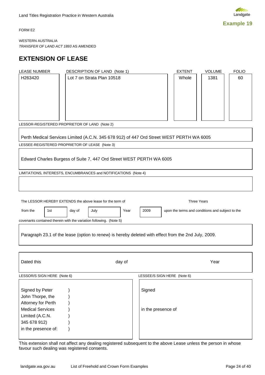

<span id="page-20-0"></span>FORM E2

WESTERN AUSTRALIA *TRANSFER OF LAND ACT 1893* AS AMENDED

### **EXTENSION OF LEASE**

| <b>LEASE NUMBER</b>                                                               |                |        | DESCRIPTION OF LAND (Note 1)                                                                         |      |                             |  | <b>EXTENT</b> | VOLUME                                           | <b>FOLIO</b> |
|-----------------------------------------------------------------------------------|----------------|--------|------------------------------------------------------------------------------------------------------|------|-----------------------------|--|---------------|--------------------------------------------------|--------------|
| H263420                                                                           |                |        | Lot 7 on Strata Plan 10518                                                                           |      |                             |  | Whole         | 1381                                             | 60           |
|                                                                                   |                |        | LESSOR-REGISTERED PROPRIETOR OF LAND (Note 2)                                                        |      |                             |  |               |                                                  |              |
|                                                                                   |                |        | Perth Medical Services Limited (A.C.N. 345 678 912) of 447 Ord Street WEST PERTH WA 6005             |      |                             |  |               |                                                  |              |
|                                                                                   |                |        | LESSEE-REGISTERED PROPRIETOR OF LEASE (Note 3)                                                       |      |                             |  |               |                                                  |              |
|                                                                                   |                |        | Edward Charles Burgess of Suite 7, 447 Ord Street WEST PERTH WA 6005                                 |      |                             |  |               |                                                  |              |
|                                                                                   |                |        | LIMITATIONS, INTERESTS, ENCUMBRANCES and NOTIFICATIONS (Note 4)                                      |      |                             |  |               |                                                  |              |
|                                                                                   |                |        |                                                                                                      |      |                             |  |               |                                                  |              |
|                                                                                   |                |        | The LESSOR HEREBY EXTENDS the above lease for the term of                                            |      |                             |  |               | <b>Three Years</b>                               |              |
| from the                                                                          | 1st            | day of | July                                                                                                 | Year | 2009                        |  |               | upon the terms and conditions and subject to the |              |
|                                                                                   |                |        | covenants contained therein with the variation following. (Note 5)                                   |      |                             |  |               |                                                  |              |
|                                                                                   |                |        | Paragraph 23.1 of the lease (option to renew) is hereby deleted with effect from the 2nd July, 2009. |      |                             |  |               |                                                  |              |
|                                                                                   |                |        |                                                                                                      |      |                             |  |               |                                                  |              |
| Dated this                                                                        | Year<br>day of |        |                                                                                                      |      |                             |  |               |                                                  |              |
| LESSOR/S SIGN HERE (Note 6)                                                       |                |        |                                                                                                      |      | LESSEE/S SIGN HERE (Note 6) |  |               |                                                  |              |
| Signed by Peter<br>Signed<br>John Thorpe, the<br>Attorney for Perth               |                |        |                                                                                                      |      |                             |  |               |                                                  |              |
| <b>Medical Services</b><br>Limited (A.C.N.<br>345 678 912)<br>in the presence of: |                |        |                                                                                                      |      | in the presence of          |  |               |                                                  |              |

This extension shall not affect any dealing registered subsequent to the above Lease unless the person in whose favour such dealing was registered consents.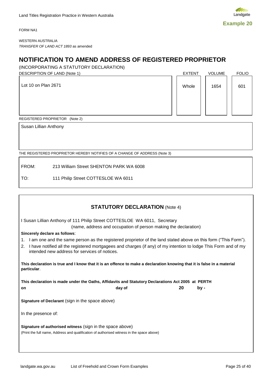<span id="page-21-0"></span>FORM NA1



WESTERN AUSTRALIA *TRANSFER OF LAND ACT 1893* as amended

### **NOTIFICATION TO AMEND ADDRESS OF REGISTERED PROPRIETOR**

(INCORPORATING A STATUTORY DECLARATION)

DESCRIPTION OF LAND (Note 1) And the set of the set of the set of the set of the set of the set of the set of the set of the set of the set of the set of the set of the set of the set of the set of the set of the set of th Lot 10 on Plan 2671  $\begin{array}{|c|c|c|c|c|c|c|c|c|} \hline \end{array}$  Whole  $\begin{array}{|c|c|c|c|c|c|c|c|c|} \hline \end{array}$  Whole  $\begin{array}{|c|c|c|c|c|c|c|c|c|} \hline \end{array}$  1654  $\begin{array}{|c|c|c|c|c|c|c|c|c|} \hline \end{array}$  601

REGISTERED PROPRIETOR (Note 2)

Susan Lillian Anthony

THE REGISTERED PROPRIETOR HEREBY NOTIFIES OF A CHANGE OF ADDRESS (Note 3)

FROM: 213 William Street SHENTON PARK WA 6008

TO: 111 Philip Street COTTESLOE WA 6011

| <b>STATUTORY DECLARATION (Note 4)</b>                                                                                                                                                                                                                                                       |  |  |  |  |  |
|---------------------------------------------------------------------------------------------------------------------------------------------------------------------------------------------------------------------------------------------------------------------------------------------|--|--|--|--|--|
| I Susan Lillian Anthony of 111 Philip Street COTTESLOE WA 6011, Secretary<br>(name, address and occupation of person making the declaration)                                                                                                                                                |  |  |  |  |  |
| Sincerely declare as follows:                                                                                                                                                                                                                                                               |  |  |  |  |  |
| 1. I am one and the same person as the registered proprietor of the land stated above on this form ("This Form").<br>I have notified all the registered mortgagees and charges (if any) of my intention to lodge This Form and of my<br>2.<br>intended new address for services of notices. |  |  |  |  |  |
| This declaration is true and I know that it is an offence to make a declaration knowing that it is false in a material<br>particular.                                                                                                                                                       |  |  |  |  |  |
| This declaration is made under the Oaths, Affidavits and Statutory Declarations Act 2005 at PERTH                                                                                                                                                                                           |  |  |  |  |  |
| 20<br>day of<br>by -<br>on                                                                                                                                                                                                                                                                  |  |  |  |  |  |
| <b>Signature of Declarant</b> (sign in the space above)                                                                                                                                                                                                                                     |  |  |  |  |  |
| In the presence of:                                                                                                                                                                                                                                                                         |  |  |  |  |  |
| <b>Signature of authorised witness</b> (sign in the space above)<br>(Print the full name, Address and qualification of authorised witness in the space above)                                                                                                                               |  |  |  |  |  |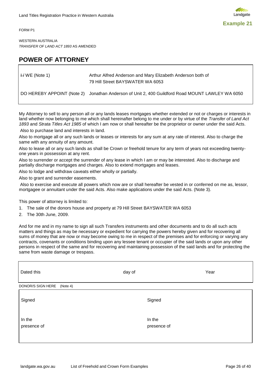<span id="page-22-0"></span>FORM P1

WESTERN AUSTRALIA *TRANSFER OF LAND ACT 1893* AS AMENDED

### **POWER OF ATTORNEY**

| $\forall$ WE (Note 1) | Arthur Alfred Anderson and Mary Elizabeth Anderson both of<br>79 Hill Street BAYSWATER WA 6053  |
|-----------------------|-------------------------------------------------------------------------------------------------|
|                       | DO HEREBY APPOINT (Note 2) Jonathan Anderson of Unit 2, 400 Guildford Road MOUNT LAWLEY WA 6050 |

My Attorney to sell to any person all or any lands leases mortgages whether extended or not or charges or interests in land whether now belonging to me which shall hereinafter belong to me under or by virtue of the *Transfer of Land Act 1893* and *Strata Titles Act 1985* of which I am now or shall hereafter be the proprietor or owner under the said Acts.

Also to purchase land and interests in land.

Also to mortgage all or any such lands or leases or interests for any sum at any rate of interest. Also to charge the same with any annuity of any amount.

Also to lease all or any such lands as shall be Crown or freehold tenure for any term of years not exceeding twentyone years in possession at any rent.

Also to surrender or accept the surrender of any lease in which I am or may be interested. Also to discharge and partially discharge mortgages and charges. Also to extend mortgages and leases.

Also to lodge and withdraw caveats either wholly or partially.

Also to grant and surrender easements.

Also to exercise and execute all powers which now are or shall hereafter be vested in or conferred on me as, lessor, mortgagee or annuitant under the said Acts. Also make applications under the said Acts. (Note 3).

This power of attorney is limited to:

- 1. The sale of the donors house and property at 79 Hill Street BAYSWATER WA 6053
- 2. The 30th June, 2009.

And for me and in my name to sign all such Transfers instruments and other documents and to do all such acts matters and things as may be necessary or expedient for carrying the powers hereby given and for recovering all sums of money that are now or may become owing to me in respect of the premises and for enforcing or varying any contracts, covenants or conditions binding upon any lessee tenant or occupier of the said lands or upon any other persons in respect of the same and for recovering and maintaining possession of the said lands and for protecting the same from waste damage or trespass.

| Dated this                    | day of<br>Year        |
|-------------------------------|-----------------------|
| DONOR/S SIGN HERE<br>(Note 4) |                       |
| Signed                        | Signed                |
| In the<br>presence of         | In the<br>presence of |

**Example 21**

Landgate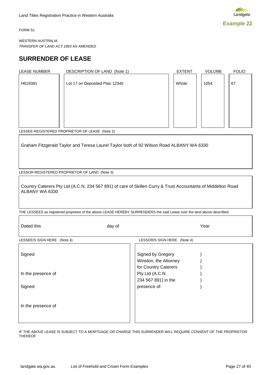

<span id="page-23-0"></span>FORM S1

WESTERN AUSTRALIA *TRANSFER OF LAND ACT 1893* AS AMENDED

### **SURRENDER OF LEASE**

| <b>LEASE NUMBER</b> | DESCRIPTION OF LAND (Note 1)   | <b>EXTENT</b> | <b>VOLUME</b> | <b>FOLIO</b> |
|---------------------|--------------------------------|---------------|---------------|--------------|
| H619381             | Lot 17 on Deposited Plan 12345 | Whole         | 1054          | 67           |
|                     |                                |               |               |              |
|                     |                                |               |               |              |

LESSEE-REGISTERED PROPRIETOR OF LEASE (Note 2)

Graham Fitzgerald Taylor and Teresa Laurel Taylor both of 92 Wilson Road ALBANY WA 6330

LESSOR-REGISTERED PROPRIETOR OF LAND (Note 3)

Country Caterers Pty Ltd (A.C.N. 234 567 891) of care of Skillen Curry & Trust Accountants of Middelton Road ALBANY WA 6330

THE LESSEES as registered proprietor of the above LEASE HEREBY SURRENDERS the said Lease over the land above described.

| Dated this                  | day of                                                             | Year |
|-----------------------------|--------------------------------------------------------------------|------|
| LESSEE/S SIGN HERE (Note 4) | LESSOR/S SIGN HERE (Note 4)                                        |      |
| Signed                      | Signed by Gregory<br>Winston, the Attorney<br>for Country Caterers |      |
| In the presence of          | Pty Ltd (A.C.N.<br>234 567 891) in the                             |      |
| Signed                      | presence of:                                                       |      |
| In the presence of          |                                                                    |      |

IF THE ABOVE LEASE IS SUBJECT TO A MORTGAGE OR CHARGE THIS SURRENDER WILL REQUIRE CONSENT OF THE PROPRIETOR THEREOF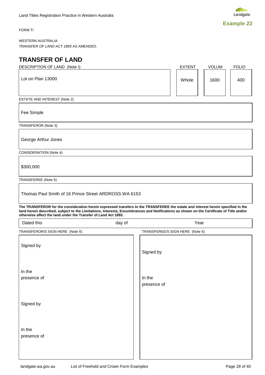

<span id="page-24-0"></span>FORM TI

WESTERN AUSTRALIA *TRANSFER OF LAND ACT 1893* AS AMENDED.

### **TRANSFER OF LAND**

|                       | <b>EXTENT</b>                                                                                                                     | <b>VOLUM</b> | <b>FOLIO</b>                                                                                                                                                                                                                                                                          |
|-----------------------|-----------------------------------------------------------------------------------------------------------------------------------|--------------|---------------------------------------------------------------------------------------------------------------------------------------------------------------------------------------------------------------------------------------------------------------------------------------|
|                       |                                                                                                                                   | 1600         | 400                                                                                                                                                                                                                                                                                   |
|                       |                                                                                                                                   |              |                                                                                                                                                                                                                                                                                       |
|                       |                                                                                                                                   |              |                                                                                                                                                                                                                                                                                       |
|                       |                                                                                                                                   |              |                                                                                                                                                                                                                                                                                       |
|                       |                                                                                                                                   |              |                                                                                                                                                                                                                                                                                       |
|                       |                                                                                                                                   |              |                                                                                                                                                                                                                                                                                       |
|                       |                                                                                                                                   |              |                                                                                                                                                                                                                                                                                       |
|                       |                                                                                                                                   |              |                                                                                                                                                                                                                                                                                       |
|                       |                                                                                                                                   |              |                                                                                                                                                                                                                                                                                       |
|                       |                                                                                                                                   |              |                                                                                                                                                                                                                                                                                       |
|                       |                                                                                                                                   |              |                                                                                                                                                                                                                                                                                       |
|                       |                                                                                                                                   |              |                                                                                                                                                                                                                                                                                       |
|                       | TRANSFEREE/S SIGN HERE (Note 6)                                                                                                   |              |                                                                                                                                                                                                                                                                                       |
| Signed by             |                                                                                                                                   |              |                                                                                                                                                                                                                                                                                       |
|                       |                                                                                                                                   |              |                                                                                                                                                                                                                                                                                       |
| In the<br>presence of |                                                                                                                                   |              |                                                                                                                                                                                                                                                                                       |
|                       |                                                                                                                                   |              |                                                                                                                                                                                                                                                                                       |
|                       | Thomas Paul Smith of 16 Prince Street ARDROSS WA 6153<br>otherwise affect the land under the Transfer of Land Act 1893.<br>day of | Whole        | The TRANSFEROR for the consideration herein expressed transfers to the TRANSFEREE the estate and interest herein specified in the<br>land herein described, subject to the Limitations, Interests, Encumbrances and Notifications as shown on the Certificate of Title and/or<br>Year |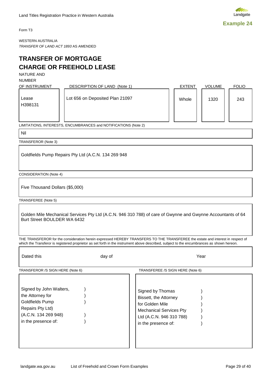<span id="page-25-0"></span>Form T3

WESTERN AUSTRALIA *TRANSFER OF LAND ACT 1893* AS AMENDED

#### **TRANSFER OF MORTGAGE CHARGE OR FREEHOLD LEASE**

NATURE AND

NUMBER

| OF INSTRUMENT    | DESCRIPTION OF LAND (Note 1)    | <b>EXTENT</b> | <b>VOLUME</b> | <b>FOLIO</b> |
|------------------|---------------------------------|---------------|---------------|--------------|
| Lease<br>H398131 | Lot 656 on Deposited Plan 21097 | Whole         | 1320          | 243          |

LIMITATIONS, INTERESTS, ENCUMBRANCES and NOTIFICATIONS (Note 2)

Nil

TRANSFEROR (Note 3)

Goldfields Pump Repairs Pty Ltd (A.C.N. 134 269 948

CONSIDERATION (Note 4)

Five Thousand Dollars (\$5,000)

TRANSFEREE (Note 5)

Golden Mile Mechanical Services Pty Ltd (A.C.N. 946 310 788) of care of Gwynne and Gwynne Accountants of 64 Burt Street BOULDER WA 6432

THE TRANSFEROR for the consideration herein expressed HEREBY TRANSFERS TO THE TRANSFEREE the estate and interest in respect of which the Transferor is registered proprietor as set forth in the instrument above described, subject to the encumbrances as shown hereon.

| Dated this                                                                                                                                                            | day of | Year                                                                                                                                                                                  |
|-----------------------------------------------------------------------------------------------------------------------------------------------------------------------|--------|---------------------------------------------------------------------------------------------------------------------------------------------------------------------------------------|
| TRANSFEROR /S SIGN HERE (Note 6)<br>Signed by John Walters,<br>the Attorney for<br>Goldfields Pump<br>Repairs Pty Ltd)<br>(A.C.N. 134 269 948)<br>in the presence of: |        | TRANSFEREE /S SIGN HERE (Note 6)<br>Signed by Thomas<br>Bissett, the Attorney<br>for Golden Mile<br><b>Mechanical Services Pty</b><br>Ltd (A.C.N. 946 310 788)<br>in the presence of: |
|                                                                                                                                                                       |        |                                                                                                                                                                                       |

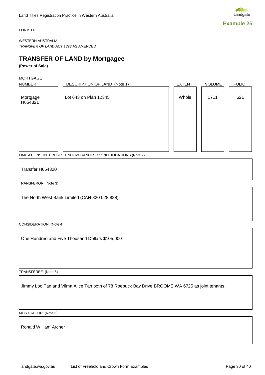

<span id="page-26-0"></span>FORM T4

WESTERN AUSTRALIA *TRANSFER OF LAND ACT 1893* AS AMENDED

### **TRANSFER OF LAND by Mortgagee**

#### **(Power of Sale)**

MORTGAGE

| <b>NUMBER</b>       | DESCRIPTION OF LAND (Note 1) | <b>EXTENT</b> | <b>VOLUME</b> | <b>FOLIO</b> |
|---------------------|------------------------------|---------------|---------------|--------------|
| Mortgage<br>H654321 | Lot 643 on Plan 12345        | Whole         | 1711          | 621          |
|                     |                              |               |               |              |
|                     |                              |               |               |              |
|                     |                              |               |               |              |

LIMITATIONS, INTERESTS, ENCUMBRANCES and NOTIFICATIONS (Note 2)

Transfer H654320

TRANSFEROR (Note 3)

The North West Bank Limited (CAN 820 028 888)

CONSIDERATION (Note 4)

One Hundred and Five Thousand Dollars \$105,000

TRANSFEREE (Note 5)

Jimmy Loo Tan and Vilma Alice Tan both of 78 Roebuck Bay Drive BROOME WA 6725 as joint tenants.

MORTGAGOR (Note 6)

Ronald William Archer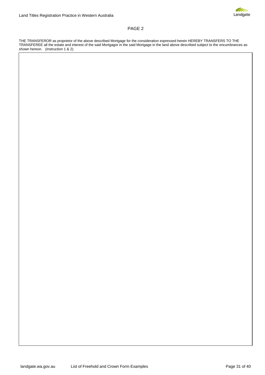

#### PAGE 2

THE TRANSFEROR as proprietor of the above described Mortgage for the consideration expressed herein HEREBY TRANSFERS TO THE TRANSFEREE all the estate and interest of the said Mortgagor in the said Mortgage in the land above described subject to the encumbrances as shown hereon. (Instruction 1 & 2)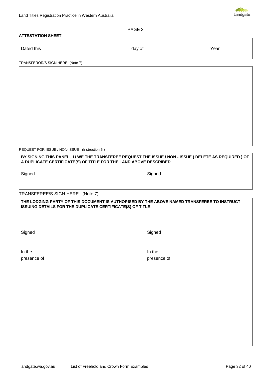

| Land Titles Registration Practice in Western Australia                                                                                                   |             | Landgate |
|----------------------------------------------------------------------------------------------------------------------------------------------------------|-------------|----------|
|                                                                                                                                                          | PAGE 3      |          |
| <b>ATTESTATION SHEET</b>                                                                                                                                 |             |          |
| Dated this                                                                                                                                               | day of      | Year     |
| TRANSFEROR/S SIGN HERE (Note 7)                                                                                                                          |             |          |
|                                                                                                                                                          |             |          |
|                                                                                                                                                          |             |          |
|                                                                                                                                                          |             |          |
|                                                                                                                                                          |             |          |
|                                                                                                                                                          |             |          |
|                                                                                                                                                          |             |          |
|                                                                                                                                                          |             |          |
|                                                                                                                                                          |             |          |
|                                                                                                                                                          |             |          |
|                                                                                                                                                          |             |          |
| REQUEST FOR ISSUE / NON-ISSUE (Instruction 5)                                                                                                            |             |          |
| BY SIGNING THIS PANEL, I / WE THE TRANSFEREE REQUEST THE ISSUE / NON - ISSUE ( DELETE AS REQUIRED ) OF                                                   |             |          |
| A DUPLICATE CERTIFICATE(S) OF TITLE FOR THE LAND ABOVE DESCRIBED.                                                                                        |             |          |
| Signed                                                                                                                                                   | Signed      |          |
|                                                                                                                                                          |             |          |
|                                                                                                                                                          |             |          |
| TRANSFEREE/S SIGN HERE (Note 7)                                                                                                                          |             |          |
| THE LODGING PARTY OF THIS DOCUMENT IS AUTHORISED BY THE ABOVE NAMED TRANSFEREE TO INSTRUCT<br>ISSUING DETAILS FOR THE DUPLICATE CERTIFICATE(S) OF TITLE. |             |          |
|                                                                                                                                                          |             |          |
|                                                                                                                                                          |             |          |
|                                                                                                                                                          |             |          |
| Signed                                                                                                                                                   | Signed      |          |
|                                                                                                                                                          |             |          |
| In the                                                                                                                                                   | In the      |          |
| presence of                                                                                                                                              | presence of |          |
|                                                                                                                                                          |             |          |
|                                                                                                                                                          |             |          |
|                                                                                                                                                          |             |          |
|                                                                                                                                                          |             |          |
|                                                                                                                                                          |             |          |
|                                                                                                                                                          |             |          |
|                                                                                                                                                          |             |          |
|                                                                                                                                                          |             |          |
|                                                                                                                                                          |             |          |
|                                                                                                                                                          |             |          |
|                                                                                                                                                          |             |          |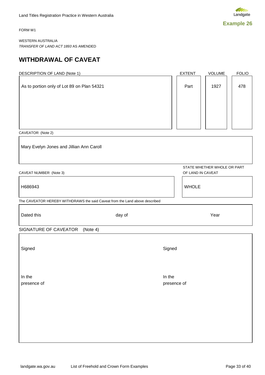<span id="page-29-0"></span>FORM W1

WESTERN AUSTRALIA *TRANSFER OF LAND ACT 1893* AS AMENDED

### **WITHDRAWAL OF CAVEAT**

| <b>DESCRIPTION OF LAND (Note 1)</b>                                         | <b>EXTENT</b><br>VOLUME<br><b>FOLIO</b>          |
|-----------------------------------------------------------------------------|--------------------------------------------------|
| As to portion only of Lot 89 on Plan 54321                                  | Part<br>1927<br>478                              |
|                                                                             |                                                  |
| CAVEATOR (Note 2)                                                           |                                                  |
| Mary Evelyn Jones and Jillian Ann Caroll                                    |                                                  |
| CAVEAT NUMBER (Note 3)                                                      | STATE WHETHER WHOLE OR PART<br>OF LAND IN CAVEAT |
| H686943                                                                     | <b>WHOLE</b>                                     |
| The CAVEATOR HEREBY WITHDRAWS the said Caveat from the Land above described |                                                  |
| Dated this<br>day of                                                        | Year                                             |
| SIGNATURE OF CAVEATOR (Note 4)                                              |                                                  |
| Signed                                                                      | Signed                                           |
| In the<br>presence of                                                       | In the<br>presence of                            |
|                                                                             |                                                  |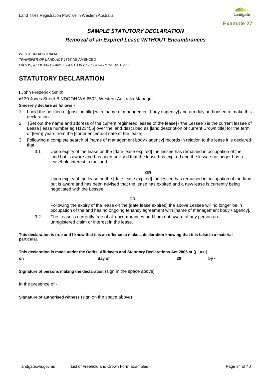

### *SAMPLE STATUTORY DECLARATION Removal of an Expired Lease WITHOUT Encumbrances*

<span id="page-30-0"></span>WESTERN AUSTRALIA *TRANSFER OF LAND ACT 1893* AS AMENDED *OATHS, AFFIDAVITS AND STATUTORY DECLARATIONS ACT 2005*

### **STATUTORY DECLARATION**

#### **I** John Frederick Smith

**of** 30 Jones Street BINDOON WA 6502, Western Australia Manager

#### **Sincerely declare as follows** -

- 1. I hold the position of [position title] with [name of management body / agency] and am duly authorised to make this declaration.
- 2. [Set out the name and address of the current registered lessee of the lease] ("the Lessee") is the current lessee of Lease [lease number eg H123456] over the land described as [land description of current Crown title] for the term of [term] years from the [commencement date of the lease].
- 3. Following a complete search of [name of management body / agency] records in relation to the lease it is declared that;
	- 3.1 Upon expiry of the lease on the [date lease expired] the lessee has remained in occupation of the land but is aware and has been advised that the lease has expired and the lessee no longer has a leasehold interest in the land.

**OR**

Upon expiry of the lease on the [date lease expired] the lessee has remained in occupation of the land but is aware and has been advised that the lease has expired and a new lease is currently being negotiated with the Lessee.

#### **OR**

Following the expiry of the lease on the [date lease expired] the above Lessee will no longer be in occupation of the and has no ongoing tenancy agreement with [name of management body / agency].

3.2 The Lease is currently free of all encumbrances and I am not aware of any person an unregistered claim or interest in the lease.

#### **This declaration is true and I know that it is an offence to make a declaration knowing that it is false in a material particular.**

**This declaration is made under the Oaths, Affidavits and Statutory Declarations Act 2005 at** (place) **on day of 20 by** -

**Signature of persons making the declaration** (sign in the space above)

In the presence of -

**Signature of authorised witness** (sign on the space above)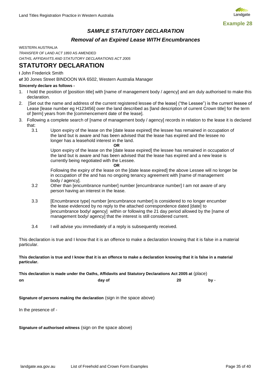

#### *SAMPLE STATUTORY DECLARATION*

#### *Removal of an Expired Lease WITH Encumbrances*

<span id="page-31-0"></span>WESTERN AUSTRALIA

*TRANSFER OF LAND ACT 1893* AS AMENDED *OATHS, AFFIDAVITS AND STATUTORY DECLARATIONS ACT 2005*

#### **STATUTORY DECLARATION**

**I** John Frederick Smith

**of** 30 Jones Street BINDOON WA 6502, Western Australia Manager

#### **Sincerely declare as follows -**

- 1. I hold the position of [position title] with [name of management body / agency] and am duly authorised to make this declaration.
- 2. [Set out the name and address of the current registered lessee of the lease] ("the Lessee") is the current lessee of Lease [lease number eg H123456] over the land described as [land description of current Crown title] for the term of [term] years from the [commencement date of the lease].
- 3. Following a complete search of [name of management body / agency] records in relation to the lease it is declared that:<br> $3.1$ 
	- Upon expiry of the lease on the [date lease expired] the lessee has remained in occupation of the land but is aware and has been advised that the lease has expired and the lessee no longer has a leasehold interest in the land.

**OR** Upon expiry of the lease on the [date lease expired] the lessee has remained in occupation of the land but is aware and has been advised that the lease has expired and a new lease is currently being negotiated with the Lessee.

**OR**

Following the expiry of the lease on the [date lease expired] the above Lessee will no longer be in occupation of the and has no ongoing tenancy agreement with [name of management body / agency].

- 3.2 Other than [encumbrance number] number [encumbrance number] I am not aware of any person having an interest in the lease.
- 3.3 [Encumbrance type] number [encumbrance number] is considered to no longer encumber the lease evidenced by no reply to the attached correspondence dated [date] to [encumbrance body/ agency] within or following the 21 day period allowed by the [name of management body/ agency] that the interest is still considered current.
- 3.4 I will advise you immediately of a reply is subsequently received.

This declaration is true and I know that it is an offence to make a declaration knowing that it is false in a material particular.

**This declaration is true and I know that it is an offence to make a declaration knowing that it is false in a material particular.**

**This declaration is made under the Oaths, Affidavits and Statutory Declarations Act 2005 at** (place) **on day of 20 by** -

**Signature of persons making the declaration** (sign in the space above)

In the presence of -

**Signature of authorised witness** (sign on the space above)